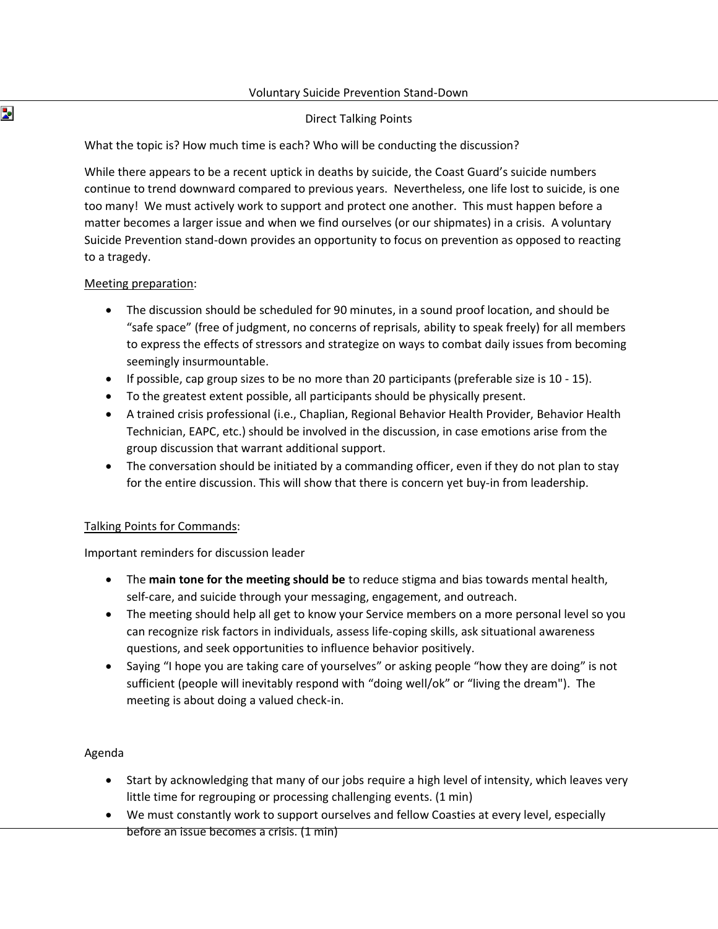#### Voluntary Suicide Prevention Stand-Down

### Direct Talking Points

What the topic is? How much time is each? Who will be conducting the discussion?

While there appears to be a recent uptick in deaths by suicide, the Coast Guard's suicide numbers continue to trend downward compared to previous years. Nevertheless, one life lost to suicide, is one too many! We must actively work to support and protect one another. This must happen before a matter becomes a larger issue and when we find ourselves (or our shipmates) in a crisis. A voluntary Suicide Prevention stand-down provides an opportunity to focus on prevention as opposed to reacting to a tragedy.

#### Meeting preparation:

- The discussion should be scheduled for 90 minutes, in a sound proof location, and should be "safe space" (free of judgment, no concerns of reprisals, ability to speak freely) for all members to express the effects of stressors and strategize on ways to combat daily issues from becoming seemingly insurmountable.
- If possible, cap group sizes to be no more than 20 participants (preferable size is 10 15).
- To the greatest extent possible, all participants should be physically present.
- A trained crisis professional (i.e., Chaplian, Regional Behavior Health Provider, Behavior Health Technician, EAPC, etc.) should be involved in the discussion, in case emotions arise from the group discussion that warrant additional support.
- The conversation should be initiated by a commanding officer, even if they do not plan to stay for the entire discussion. This will show that there is concern yet buy-in from leadership.

#### Talking Points for Commands:

Important reminders for discussion leader

- The **main tone for the meeting should be** to reduce stigma and bias towards mental health, self-care, and suicide through your messaging, engagement, and outreach.
- The meeting should help all get to know your Service members on a more personal level so you can recognize risk factors in individuals, assess life-coping skills, ask situational awareness questions, and seek opportunities to influence behavior positively.
- Saying "I hope you are taking care of yourselves" or asking people "how they are doing" is not sufficient (people will inevitably respond with "doing well/ok" or "living the dream"). The meeting is about doing a valued check-in.

#### Agenda

- Start by acknowledging that many of our jobs require a high level of intensity, which leaves very little time for regrouping or processing challenging events. (1 min)
- We must constantly work to support ourselves and fellow Coasties at every level, especially before an issue becomes a crisis. (1 min)

Þ.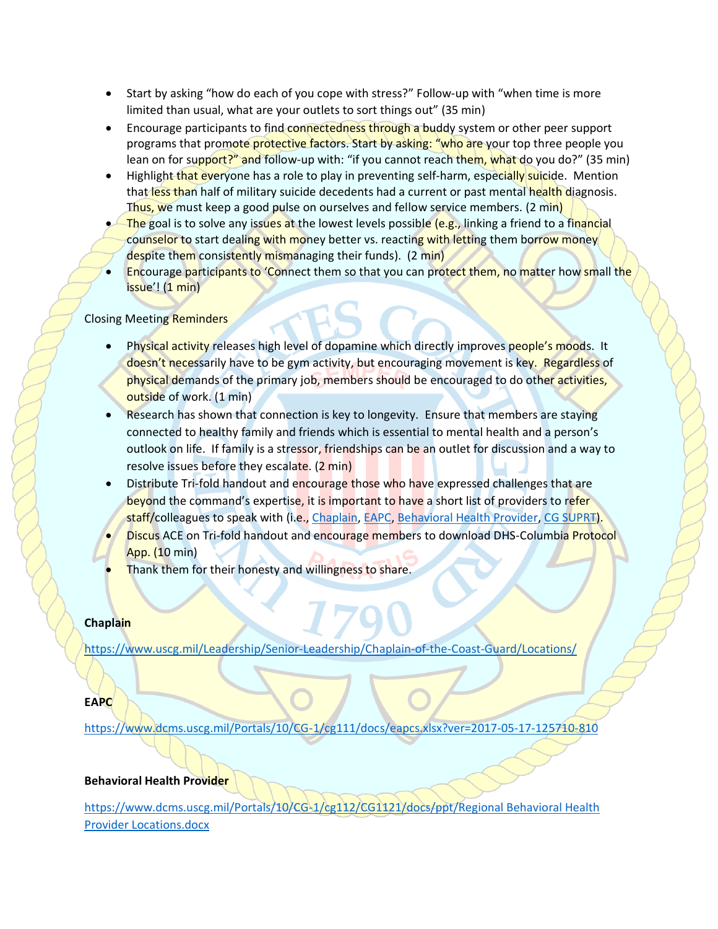- Start by asking "how do each of you cope with stress?" Follow-up with "when time is more limited than usual, what are your outlets to sort things out" (35 min)
- Encourage participants to find connectedness through a buddy system or other peer support programs that promote protective factors. Start by asking: "who are your top three people you lean on for support?" and follow-up with: "if you cannot reach them, what do you do?" (35 min)
- Highlight that everyone has a role to play in preventing self-harm, especially suicide. Mention that less than half of military suicide decedents had a current or past mental health diagnosis. Thus, we must keep a good pulse on ourselves and fellow service members. (2 min)
- **The goal is to solve any issues at the lowest levels possible (e.g., linking a friend to a financial** counselor to start dealing with money better vs. reacting with letting them borrow money despite them consistently mismanaging their funds). (2 min)
- Encourage participants to 'Connect them so that you can protect them, no matter how small the issue'! (1 min)

### Closing Meeting Reminders

- Physical activity releases high level of dopamine which directly improves people's moods. It doesn't necessarily have to be gym activity, but encouraging movement is key. Regardless of physical demands of the primary job, members should be encouraged to do other activities, outside of work. (1 min)
- Research has shown that connection is key to longevity. Ensure that members are staying connected to healthy family and friends which is essential to mental health and a person's outlook on life. If family is a stressor, friendships can be an outlet for discussion and a way to resolve issues before they escalate. (2 min)
- Distribute Tri-fold handout and encourage those who have expressed challenges that are beyond the command's expertise, it is important to have a short list of providers to refer staff/colleagues to speak with (i.e., [Chaplain,](mailto:https://www.uscg.mil/Leadership/Senior-Leadership/Chaplain-of-the-Coast-Guard/Locations/) [EAPC,](mailto:https://www.dcms.uscg.mil/Portals/10/CG-1/cg111/docs/eapcs.xlsx?ver=2017-05-17-125710-810) [Behavioral Health Provider,](mailto:https://www.dcms.uscg.mil/Portals/10/CG-1/cg112/CG1121/docs/ppt/Regional%20Behavioral%20Health%20Provider%20Locations.docx?ver=vf-mONoskA4AcjhamPsxNg%3d%3d) [CG SUPRT\)](mailto:https://www.cgsuprt.com/portal/landing?a=1).
- **Discus ACE on Tri-fold handout and encourage members to download DHS-Columbia Protocol** App. (10 min)
- Thank them for their honesty and willingness to share.

#### **Chaplain**

<https://www.uscg.mil/Leadership/Senior-Leadership/Chaplain-of-the-Coast-Guard/Locations/>

## **EAPC**

<https://www.dcms.uscg.mil/Portals/10/CG-1/cg111/docs/eapcs.xlsx?ver=2017-05-17-125710-810>

## **Behavioral Health Provider**

[https://www.dcms.uscg.mil/Portals/10/CG-1/cg112/CG1121/docs/ppt/Regional Behavioral Health](https://www.dcms.uscg.mil/Portals/10/CG-1/cg112/CG1121/docs/ppt/Regional%20Behavioral%20Health%20Provider%20Locations.docx)  [Provider Locations.docx](https://www.dcms.uscg.mil/Portals/10/CG-1/cg112/CG1121/docs/ppt/Regional%20Behavioral%20Health%20Provider%20Locations.docx)